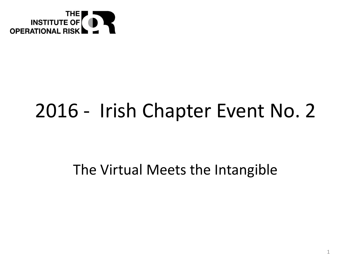

## 2016 - Irish Chapter Event No. 2

### The Virtual Meets the Intangible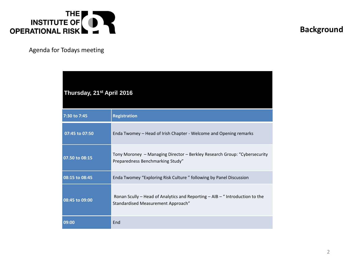

#### **Background**

Agenda for Todays meeting

| Thursday, 21 <sup>st</sup> April 2016 |                                                                                                                    |
|---------------------------------------|--------------------------------------------------------------------------------------------------------------------|
| 7:30 to 7:45                          | <b>Registration</b>                                                                                                |
| 07:45 to 07:50                        | Enda Twomey - Head of Irish Chapter - Welcome and Opening remarks                                                  |
| 07.50 to 08:15                        | Tony Moroney - Managing Director - Berkley Research Group: "Cybersecurity<br>Preparedness Benchmarking Study"      |
| 08:15 to 08:45                        | Enda Twomey "Exploring Risk Culture" following by Panel Discussion                                                 |
| 08:45 to 09:00                        | Ronan Scully - Head of Analytics and Reporting - AIB - " Introduction to the<br>Standardised Measurement Approach" |
| 09:00                                 | End                                                                                                                |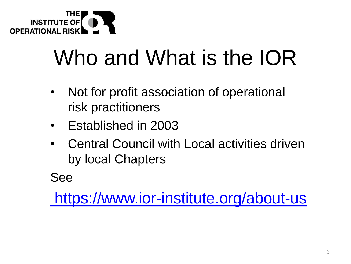

# Who and What is the IOR

- Not for profit association of operational risk practitioners
- Established in 2003
- Central Council with Local activities driven by local Chapters

See

<https://www.ior-institute.org/about-us>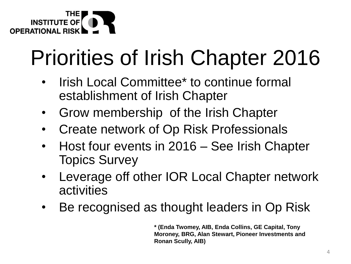

# Priorities of Irish Chapter 2016

- Irish Local Committee\* to continue formal establishment of Irish Chapter
- Grow membership of the Irish Chapter
- Create network of Op Risk Professionals
- Host four events in 2016 See Irish Chapter Topics Survey
- Leverage off other IOR Local Chapter network activities
- Be recognised as thought leaders in Op Risk

**\* (Enda Twomey, AIB, Enda Collins, GE Capital, Tony Moroney, BRG, Alan Stewart, Pioneer Investments and Ronan Scully, AIB)**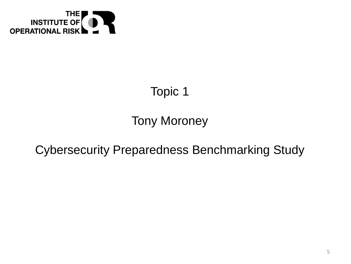

### Topic 1

### Tony Moroney

### Cybersecurity Preparedness Benchmarking Study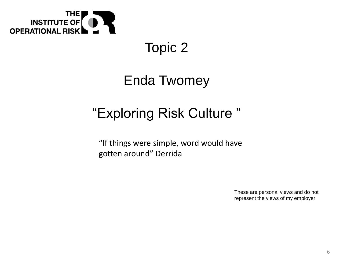

### Topic 2

### Enda Twomey

### "Exploring Risk Culture "

"If things were simple, word would have gotten around" Derrida

> These are personal views and do not represent the views of my employer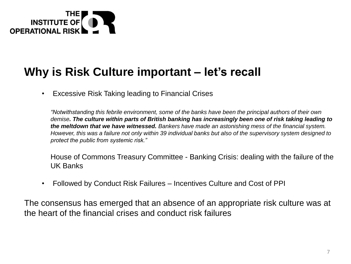

### **Why is Risk Culture important – let's recall**

• Excessive Risk Taking leading to Financial Crises

*"Notwithstanding this febrile environment, some of the banks have been the principal authors of their own demise. The culture within parts of British banking has increasingly been one of risk taking leading to the meltdown that we have witnessed. Bankers have made an astonishing mess of the financial system. However, this was a failure not only within 39 individual banks but also of the supervisory system designed to protect the public from systemic risk."*

House of Commons Treasury Committee - Banking Crisis: dealing with the failure of the UK Banks

• Followed by Conduct Risk Failures – Incentives Culture and Cost of PPI

The consensus has emerged that an absence of an appropriate risk culture was at the heart of the financial crises and conduct risk failures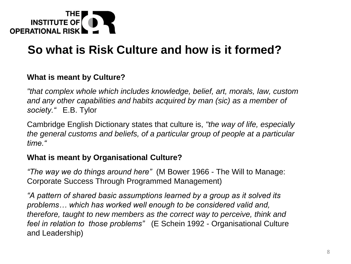

#### **What is meant by Culture?**

*"that complex whole which includes knowledge, belief, art, morals, law, custom and any other capabilities and habits acquired by man (sic) as a member of society."* E.B. Tylor

Cambridge English Dictionary states that culture is, *"the way of life, especially the general customs and beliefs, of a particular group of people at a particular time."*

#### **What is meant by Organisational Culture?**

*"The way we do things around here"* (M Bower 1966 - The Will to Manage: Corporate Success Through Programmed Management)

*"A pattern of shared basic assumptions learned by a group as it solved its problems… which has worked well enough to be considered valid and, therefore, taught to new members as the correct way to perceive, think and feel in relation to those problems"* (E Schein 1992 - Organisational Culture and Leadership)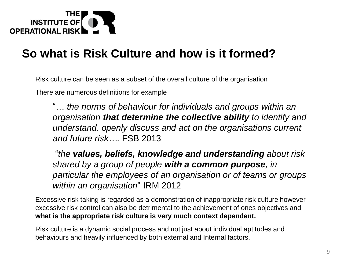

Risk culture can be seen as a subset of the overall culture of the organisation

There are numerous definitions for example

"… *the norms of behaviour for individuals and groups within an organisation that determine the collective ability to identify and understand, openly discuss and act on the organisations current and future risk….* FSB 2013

"*the values, beliefs, knowledge and understanding about risk shared by a group of people with a common purpose, in particular the employees of an organisation or of teams or groups within an organisation*" IRM 2012

Excessive risk taking is regarded as a demonstration of inappropriate risk culture however excessive risk control can also be detrimental to the achievement of ones objectives and **what is the appropriate risk culture is very much context dependent.** 

Risk culture is a dynamic social process and not just about individual aptitudes and behaviours and heavily influenced by both external and Internal factors.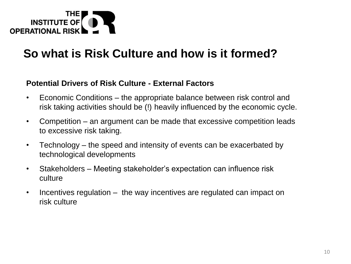

#### **Potential Drivers of Risk Culture - External Factors**

- Economic Conditions the appropriate balance between risk control and risk taking activities should be (!) heavily influenced by the economic cycle.
- Competition an argument can be made that excessive competition leads to excessive risk taking.
- Technology the speed and intensity of events can be exacerbated by technological developments
- Stakeholders Meeting stakeholder's expectation can influence risk culture
- Incentives regulation the way incentives are regulated can impact on risk culture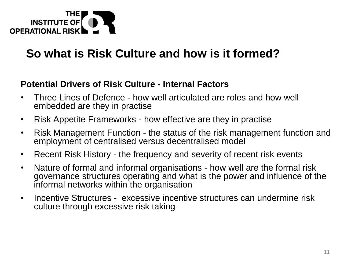

#### **Potential Drivers of Risk Culture - Internal Factors**

- Three Lines of Defence how well articulated are roles and how well embedded are they in practise
- Risk Appetite Frameworks how effective are they in practise
- Risk Management Function the status of the risk management function and employment of centralised versus decentralised model
- Recent Risk History the frequency and severity of recent risk events
- Nature of formal and informal organisations how well are the formal risk governance structures operating and what is the power and influence of the informal networks within the organisation
- Incentive Structures excessive incentive structures can undermine risk culture through excessive risk taking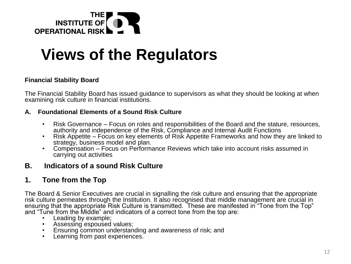

### **Views of the Regulators**

#### **Financial Stability Board**

The Financial Stability Board has issued guidance to supervisors as what they should be looking at when examining risk culture in financial institutions.

#### **A. Foundational Elements of a Sound Risk Culture**

- Risk Governance Focus on roles and responsibilities of the Board and the stature, resources, authority and independence of the Risk, Compliance and Internal Audit Functions
- Risk Appetite Focus on key elements of Risk Appetite Frameworks and how they are linked to strategy, business model and plan.
- Compensation Focus on Performance Reviews which take into account risks assumed in carrying out activities

#### **B. Indicators of a sound Risk Culture**

#### **1. Tone from the Top**

The Board & Senior Executives are crucial in signalling the risk culture and ensuring that the appropriate risk culture permeates through the Institution. It also recognised that middle management are crucial in ensuring that the appropriate Risk Culture is transmitted. These are manifested in "Tone from the Top" and "Tune from the Middle" and indicators of a correct tone from the top are:

- Leading by example;
- Assessing espoused values;
- Ensuring common understanding and awareness of risk; and
- Learning from past experiences.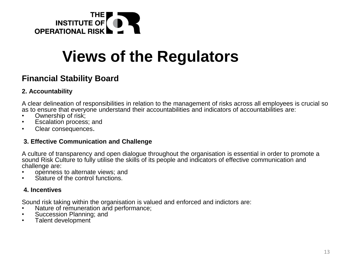

### **Views of the Regulators**

#### **Financial Stability Board**

#### **2. Accountability**

A clear delineation of responsibilities in relation to the management of risks across all employees is crucial so as to ensure that everyone understand their accountabilities and indicators of accountabilities are:

- Ownership of risk;
- Escalation process; and
- Clear consequences.

#### **3. Effective Communication and Challenge**

A culture of transparency and open dialogue throughout the organisation is essential in order to promote a sound Risk Culture to fully utilise the skills of its people and indicators of effective communication and challenge are:

- openness to alternate views; and
- Stature of the control functions.

#### **4. Incentives**

Sound risk taking within the organisation is valued and enforced and indictors are:

- Nature of remuneration and performance;
- Succession Planning; and
- Talent development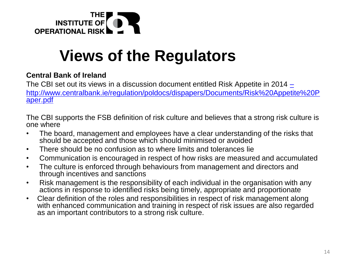

### **Views of the Regulators**

#### **Central Bank of Ireland**

The CBI set out its views in a discussion document entitled Risk Appetite in 2014 [–](http://www.centralbank.ie/regulation/poldocs/dispapers/Documents/Risk Appetite Paper.pdf) [http://www.centralbank.ie/regulation/poldocs/dispapers/Documents/Risk%20Appetite%20P](http://www.centralbank.ie/regulation/poldocs/dispapers/Documents/Risk Appetite Paper.pdf) aper.pdf

The CBI supports the FSB definition of risk culture and believes that a strong risk culture is one where

- The board, management and employees have a clear understanding of the risks that should be accepted and those which should minimised or avoided
- There should be no confusion as to where limits and tolerances lie
- Communication is encouraged in respect of how risks are measured and accumulated
- The culture is enforced through behaviours from management and directors and through incentives and sanctions
- Risk management is the responsibility of each individual in the organisation with any actions in response to identified risks being timely, appropriate and proportionate
- Clear definition of the roles and responsibilities in respect of risk management along with enhanced communication and training in respect of risk issues are also regarded as an important contributors to a strong risk culture.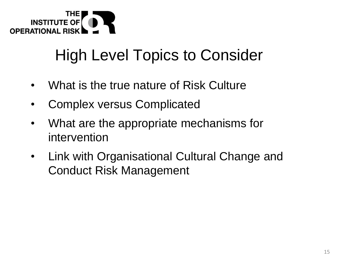

### High Level Topics to Consider

- What is the true nature of Risk Culture
- Complex versus Complicated
- What are the appropriate mechanisms for intervention
- Link with Organisational Cultural Change and Conduct Risk Management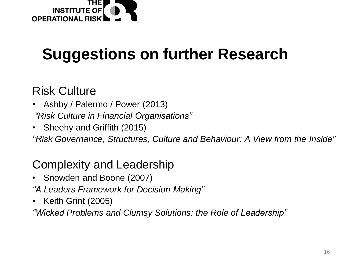

### **Suggestions on further Research**

### Risk Culture

- Ashby / Palermo / Power (2013) *"Risk Culture in Financial Organisations"*
- Sheehy and Griffith (2015)

*"Risk Governance, Structures, Culture and Behaviour: A View from the Inside"*

### Complexity and Leadership

- Snowden and Boone (2007)
- *"A Leaders Framework for Decision Making"*
- Keith Grint (2005)

*"Wicked Problems and Clumsy Solutions: the Role of Leadership"*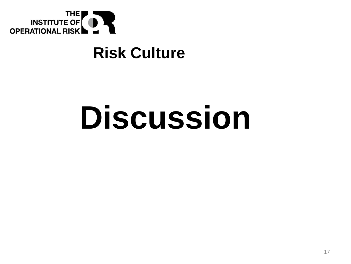

### **Risk Culture**

# **Discussion**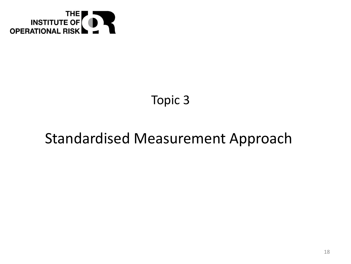

### Topic 3

### Standardised Measurement Approach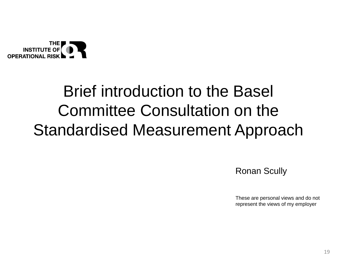

### Brief introduction to the Basel Committee Consultation on the Standardised Measurement Approach

Ronan Scully

These are personal views and do not represent the views of my employer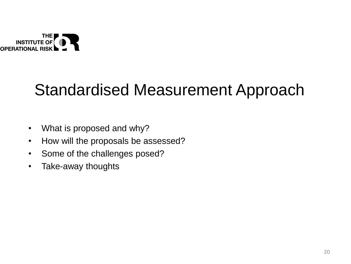

### Standardised Measurement Approach

- What is proposed and why?
- How will the proposals be assessed?
- Some of the challenges posed?
- Take-away thoughts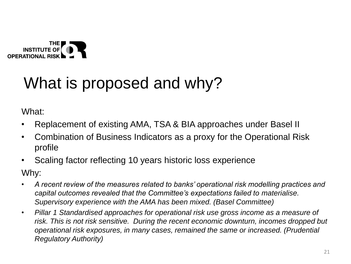

### What is proposed and why?

What:

- Replacement of existing AMA, TSA & BIA approaches under Basel II
- Combination of Business Indicators as a proxy for the Operational Risk profile
- Scaling factor reflecting 10 years historic loss experience

Why:

- *A recent review of the measures related to banks' operational risk modelling practices and capital outcomes revealed that the Committee's expectations failed to materialise. Supervisory experience with the AMA has been mixed. (Basel Committee)*
- *Pillar 1 Standardised approaches for operational risk use gross income as a measure of risk. This is not risk sensitive. During the recent economic downturn, incomes dropped but operational risk exposures, in many cases, remained the same or increased. (Prudential Regulatory Authority)*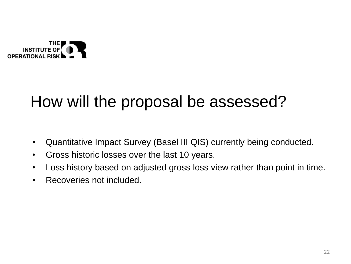#### **INSTITUTE O OPERATIONAL RIS**

### How will the proposal be assessed?

- Quantitative Impact Survey (Basel III QIS) currently being conducted.
- Gross historic losses over the last 10 years.
- Loss history based on adjusted gross loss view rather than point in time.
- Recoveries not included.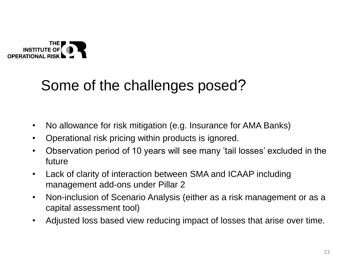

### Some of the challenges posed?

- No allowance for risk mitigation (e.g. Insurance for AMA Banks)
- Operational risk pricing within products is ignored.
- Observation period of 10 years will see many 'tail losses' excluded in the future
- Lack of clarity of interaction between SMA and ICAAP including management add-ons under Pillar 2
- Non-inclusion of Scenario Analysis (either as a risk management or as a capital assessment tool)
- Adjusted loss based view reducing impact of losses that arise over time.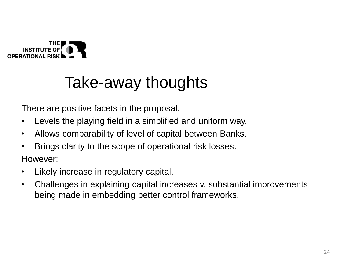

### Take-away thoughts

There are positive facets in the proposal:

- Levels the playing field in a simplified and uniform way.
- Allows comparability of level of capital between Banks.
- Brings clarity to the scope of operational risk losses.

However:

- Likely increase in regulatory capital.
- Challenges in explaining capital increases v. substantial improvements being made in embedding better control frameworks.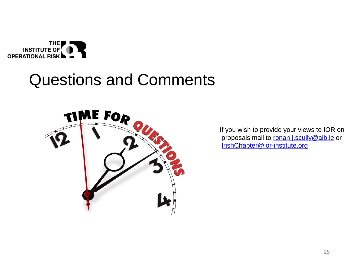

### Questions and Comments



If you wish to provide your views to IOR on proposals mail to [ronan.j.scully@aib.ie](mailto:ronan.k.scully@aib.ie) or [IrishChapter@ior-institute.org](mailto:IrishChapter@ior-institute.org)